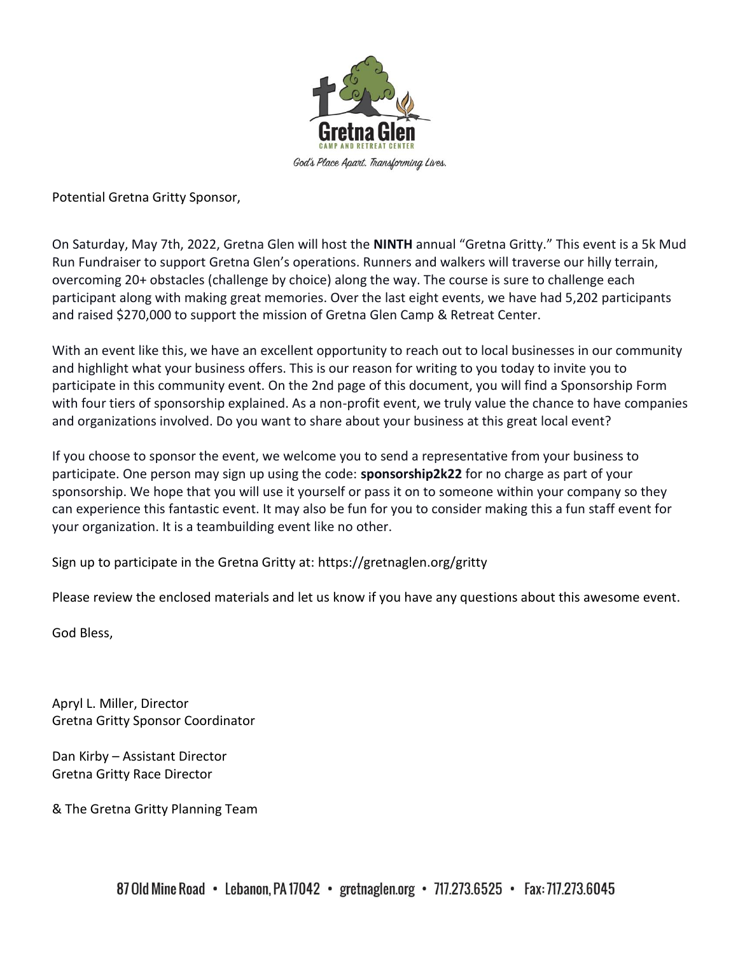

Potential Gretna Gritty Sponsor,

On Saturday, May 7th, 2022, Gretna Glen will host the **NINTH** annual "Gretna Gritty." This event is a 5k Mud Run Fundraiser to support Gretna Glen's operations. Runners and walkers will traverse our hilly terrain, overcoming 20+ obstacles (challenge by choice) along the way. The course is sure to challenge each participant along with making great memories. Over the last eight events, we have had 5,202 participants and raised \$270,000 to support the mission of Gretna Glen Camp & Retreat Center.

With an event like this, we have an excellent opportunity to reach out to local businesses in our community and highlight what your business offers. This is our reason for writing to you today to invite you to participate in this community event. On the 2nd page of this document, you will find a Sponsorship Form with four tiers of sponsorship explained. As a non-profit event, we truly value the chance to have companies and organizations involved. Do you want to share about your business at this great local event?

If you choose to sponsor the event, we welcome you to send a representative from your business to participate. One person may sign up using the code: **sponsorship2k22** for no charge as part of your sponsorship. We hope that you will use it yourself or pass it on to someone within your company so they can experience this fantastic event. It may also be fun for you to consider making this a fun staff event for your organization. It is a teambuilding event like no other.

Sign up to participate in the Gretna Gritty at: https://gretnaglen.org/gritty

Please review the enclosed materials and let us know if you have any questions about this awesome event.

God Bless,

Apryl L. Miller, Director Gretna Gritty Sponsor Coordinator

Dan Kirby – Assistant Director Gretna Gritty Race Director

& The Gretna Gritty Planning Team